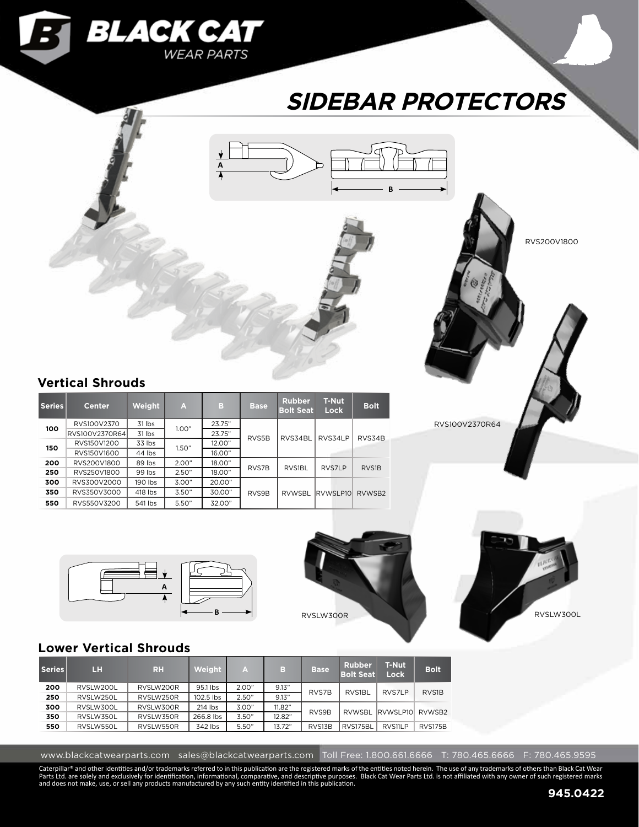

# **SIDEBAR PROTECTORS**

**B**



| Series | <b>Center</b>  | <b>Weight</b> | Æ.     | в      | <b>Base</b> | <b>Rubber</b><br><b>Bolt Seat</b> | <b>T-Nut</b><br><b>Lock</b> | <b>Bolt</b> |
|--------|----------------|---------------|--------|--------|-------------|-----------------------------------|-----------------------------|-------------|
| 100    | RVS100V2370    | 31 lbs        | 1.00"  | 23.75" |             |                                   |                             |             |
|        | RVS100V2370R64 | 31 lbs        | 23.75" |        | RVS5B       | RVS34BL                           | RVS34LP                     | RVS34B      |
| 150    | RVS150V1200    | 33 lbs        | 1.50"  | 12.00" |             |                                   |                             |             |
|        | RVS150V1600    | 44 lbs        |        | 16.00" |             |                                   |                             |             |
| 200    | RVS200V1800    | 89 lbs        | 2.00"  | 18.00" | RVS7B       | RVS1BL                            | RVS7LP                      | RVS1B       |
| 250    | RVS250V1800    | 99 lbs        | 2.50"  | 18.00" |             |                                   |                             |             |
| 300    | RVS300V2000    | 190 lbs       | 3.00"  | 20.00" |             |                                   |                             |             |
| 350    | RVS350V3000    | 418 lbs       | 3.50"  | 30.00" | RVS9B       | <b>RVWSBL</b>                     | RVWSLP10                    | RVWSB2      |
| 550    | RVS550V3200    | 541 lbs       | 5.50"  | 32.00" |             |                                   |                             |             |

**A**

RVS200V1800

## RVS100V2370R64







## **Lower Vertical Shrouds**

| Series | LH        | <b>RH</b> | Weight    | A     | в      | <b>Base</b> | <b>Rubber</b><br><b>Bolt Seat</b> | <b>T-Nut</b><br>Lock | <b>Bolt</b>    |  |
|--------|-----------|-----------|-----------|-------|--------|-------------|-----------------------------------|----------------------|----------------|--|
| 200    | RVSLW200L | RVSLW200R | 95.1 lbs  | 2.00" | 9.13"  | RVS7B       | RVS1BL                            | RVS7LP               | RVS1B          |  |
| 250    | RVSLW250L | RVSLW250R | 102.5 lbs | 2.50" | 9.13"  |             |                                   |                      |                |  |
| 300    | RVSLW300L | RVSLW300R | 214 lbs   | 3.00" | 11.82" | RVS9B       | RVWSBL RVWSLP10                   |                      | RVWSB2         |  |
| 350    | RVSLW350L | RVSLW350R | 266.8 lbs | 3.50" | 12.82" |             |                                   |                      |                |  |
| 550    | RVSLW550L | RVSLW550R | 342 lbs   | 5.50" | 13.72" | RVS13B      | RVS175BL                          | RVS11LP              | <b>RVS175B</b> |  |

www.blackcatwearparts.com sales@blackcatwearparts.com Toll Free: 1.800.661.6666 T: 780.465.6666 F: 780.465.9595

Caterpillar® and other identities and/or trademarks referred to in this publication are the registered marks of the entities noted herein. The use of any trademarks of others than Black Cat Wear<br>Parts Ltd. are solely and e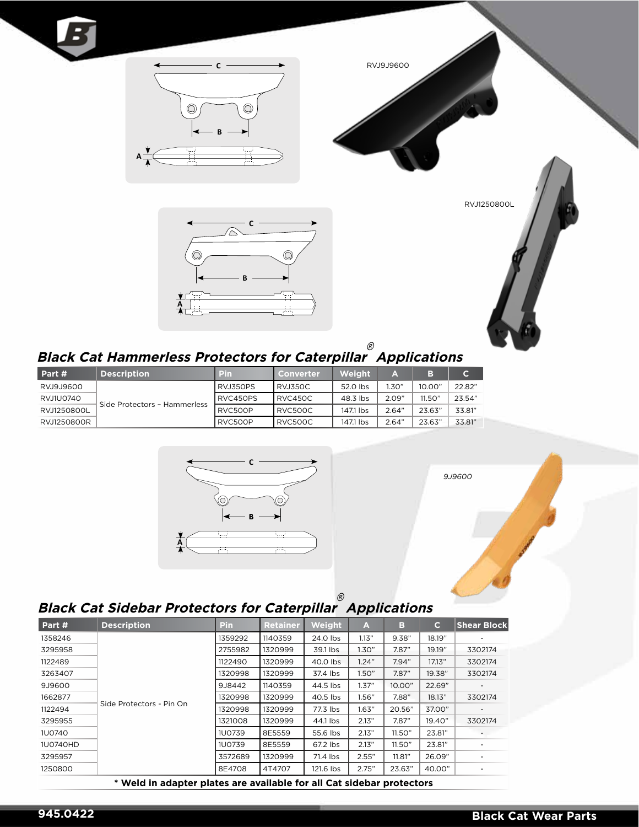





RVJ1250800L



### **Black Cat Hammerless Protectors for Caterpillar** ® **Applications**

| Part #      | <b>Description</b>           | <b>Pin</b> | Converter      | Weight    | A     | B.     | C.     |
|-------------|------------------------------|------------|----------------|-----------|-------|--------|--------|
| RVJ9J9600   |                              | RVJ350PS   | <b>RVJ350C</b> | 52.0 lbs  | 1.30" | 10.00" | 22.82" |
| RVJ1U0740   |                              | RVC450PS   | RVC450C        | 48.3 lbs  | 2.09" | 11.50" | 23.54" |
| RVJ1250800L | Side Protectors - Hammerless | RVC500P    | RVC500C        | 1471 lbs  | 2.64" | 23.63" | 33.81" |
| RVJ1250800R |                              | RVC500P    | RVC500C        | 147.1 lbs | 2.64" | 23.63" | 33.81" |



*9J9600*

#### **Black Cat Sidebar Protectors for Caterpillar** ® **Applications**

| Part #   | <b>Description</b>       | <b>Pin</b>    | <b>Retainer</b> | Weight    | A     | в      | $\mathbf{C}$ | <b>Shear Block</b>       |
|----------|--------------------------|---------------|-----------------|-----------|-------|--------|--------------|--------------------------|
| 1358246  |                          | 1359292       | 1140359         | 24.0 lbs  | 1.13" | 9.38"  | 18.19"       |                          |
| 3295958  |                          | 2755982       | 1320999         | 39.1 lbs  | 1.30" | 7.87"  | 19.19"       | 3302174                  |
| 1122489  |                          | 1122490       | 1320999         | 40.0 lbs  | 1.24" | 7.94"  | 17.13"       | 3302174                  |
| 3263407  |                          | 1320998       | 1320999         | 37.4 lbs  | 1.50" | 7.87"  | 19.38"       | 3302174                  |
| 9J9600   |                          | 9J8442        | 1140359         | 44.5 lbs  | 1.37" | 10.00" | 22.69"       |                          |
| 1662877  |                          | 1320998       | 1320999         | 40.5 lbs  | 1.56" | 7.88"  | 18.13"       | 3302174                  |
| 1122494  | Side Protectors - Pin On | 1320998       | 1320999         | 77.3 lbs  | 1.63" | 20.56" | 37.00"       | $\overline{\phantom{a}}$ |
| 3295955  |                          | 1321008       | 1320999         | 44.1 lbs  | 2.13" | 7.87"  | 19.40"       | 3302174                  |
| 1U0740   |                          | <b>1U0739</b> | 8E5559          | 55.6 lbs  | 2.13" | 11.50" | 23.81"       |                          |
| 1U0740HD |                          | <b>1U0739</b> | 8E5559          | 67.2 lbs  | 2.13" | 11.50" | 23.81"       |                          |
| 3295957  |                          | 3572689       | 1320999         | 71.4 lbs  | 2.55" | 11.81" | 26.09"       |                          |
| 1250800  |                          | 8E4708        | 4T4707          | 121.6 lbs | 2.75" | 23.63" | 40.00"       | $\overline{\phantom{0}}$ |

**\* Weld in adapter plates are available for all Cat sidebar protectors**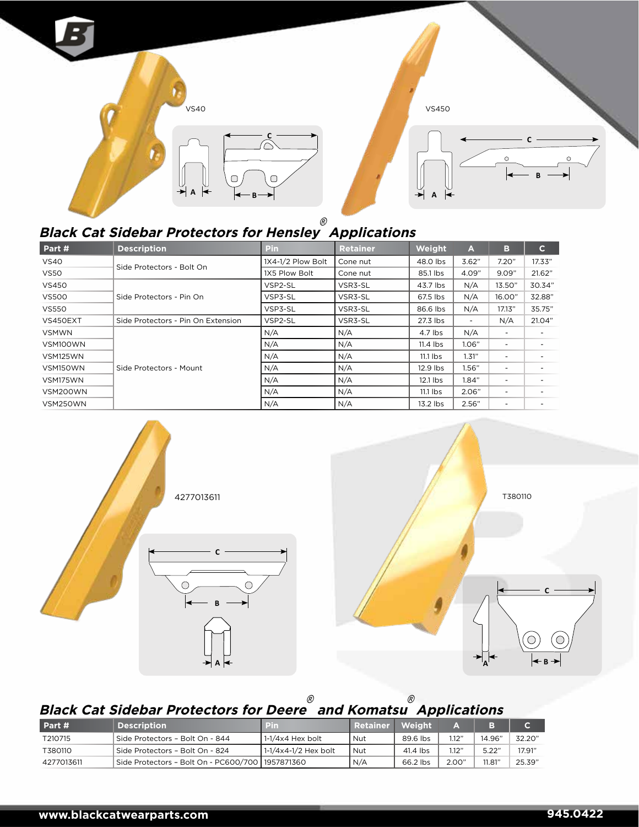

#### **Black Cat Sidebar Protectors for Hensley** ® **Applications**

| Part #       | <b>Description</b>                 | <b>Pin</b>        | <b>Retainer</b> | Weight     | A                        | в                        | $\mathbf{C}$ |
|--------------|------------------------------------|-------------------|-----------------|------------|--------------------------|--------------------------|--------------|
| <b>VS40</b>  |                                    | 1X4-1/2 Plow Bolt | Cone nut        | 48.0 lbs   | 3.62"                    | 7.20"                    | 17.33"       |
| <b>VS50</b>  | Side Protectors - Bolt On          | 1X5 Plow Bolt     | Cone nut        | 85.1 lbs   | 4.09"                    | 9.09"                    | 21.62"       |
| <b>VS450</b> |                                    | VSP2-SL           | VSR3-SL         | 43.7 lbs   | N/A                      | 13.50"                   | 30.34"       |
| <b>VS500</b> | Side Protectors - Pin On           | VSP3-SL           | VSR3-SL         | 67.5 lbs   | N/A                      | 16.00"                   | 32.88"       |
| <b>VS550</b> |                                    | VSP3-SL           | VSR3-SL         | 86.6 lbs   | N/A                      | 17.13"                   | 35.75"       |
| VS450EXT     | Side Protectors - Pin On Extension | VSP2-SL           | VSR3-SL         | 27.3 lbs   | $\overline{\phantom{a}}$ | N/A                      | 21.04"       |
| <b>VSMWN</b> |                                    | N/A               | N/A             | 4.7 lbs    | N/A                      | $\overline{\phantom{a}}$ |              |
| VSM100WN     |                                    | N/A               | N/A             | $11.4$ lbs | 1.06"                    | -                        |              |
| VSM125WN     |                                    | N/A               | N/A             | $11.1$ lbs | 1.31"                    | -                        |              |
| VSM150WN     | Side Protectors - Mount            | N/A               | N/A             | 12.9 lbs   | 1.56"                    | -                        |              |
| VSM175WN     |                                    | N/A               | N/A             | $12.1$ lbs | 1.84"                    |                          |              |
| VSM200WN     |                                    | N/A               | N/A             | $11.1$ lbs | 2.06"                    | -                        |              |
| VSM250WN     |                                    | N/A               | N/A             | 13.2 lbs   | 2.56"                    | -                        |              |



#### **Black Cat Sidebar Protectors for Deere** ®  **and Komatsu** ® **Applications**

| Part #     | <b>Description</b>                                 | הוכו                    | <b>Retainer</b> | Weiaht   |       |        |        |
|------------|----------------------------------------------------|-------------------------|-----------------|----------|-------|--------|--------|
| T210715    | Side Protectors - Bolt On - 844                    | $1-1/4\times4$ Hex bolt | Nut             | 89.6 lbs | 1.12" | 14.96" | 32.20" |
| T380110    | Side Protectors - Bolt On - 824                    | $1-1/4x4-1/2$ Hex bolt  | <b>Nut</b>      | 41.4 lbs | 1.12" | 5.22"  | 17.91" |
| 4277013611 | Side Protectors - Bolt On - PC600/700   1957871360 |                         | N/A             | 66.2 lbs | 2.00" | 11.81" | 25.39" |